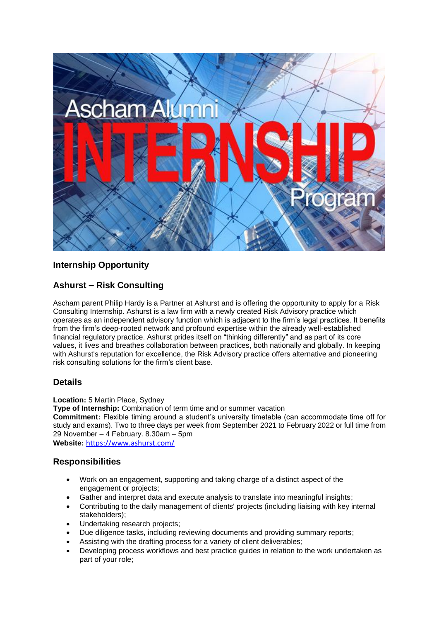

# **Internship Opportunity**

## **Ashurst – Risk Consulting**

Ascham parent Philip Hardy is a Partner at Ashurst and is offering the opportunity to apply for a Risk Consulting Internship. Ashurst is a law firm with a newly created Risk Advisory practice which operates as an independent advisory function which is adjacent to the firm's legal practices. It benefits from the firm's deep-rooted network and profound expertise within the already well-established financial regulatory practice. Ashurst prides itself on "thinking differently" and as part of its core values, it lives and breathes collaboration between practices, both nationally and globally. In keeping with Ashurst's reputation for excellence, the Risk Advisory practice offers alternative and pioneering risk consulting solutions for the firm's client base.

## **Details**

**Location:** 5 Martin Place, Sydney

**Type of Internship:** Combination of term time and or summer vacation

**Commitment:** Flexible timing around a student's university timetable (can accommodate time off for study and exams). Two to three days per week from September 2021 to February 2022 or full time from 29 November – 4 February. 8.30am – 5pm

**Website:** <https://www.ashurst.com/>

## **Responsibilities**

- Work on an engagement, supporting and taking charge of a distinct aspect of the engagement or projects;
- Gather and interpret data and execute analysis to translate into meaningful insights;
- Contributing to the daily management of clients' projects (including liaising with key internal stakeholders);
- Undertaking research projects;
- Due diligence tasks, including reviewing documents and providing summary reports;
- Assisting with the drafting process for a variety of client deliverables;
- Developing process workflows and best practice guides in relation to the work undertaken as part of your role;